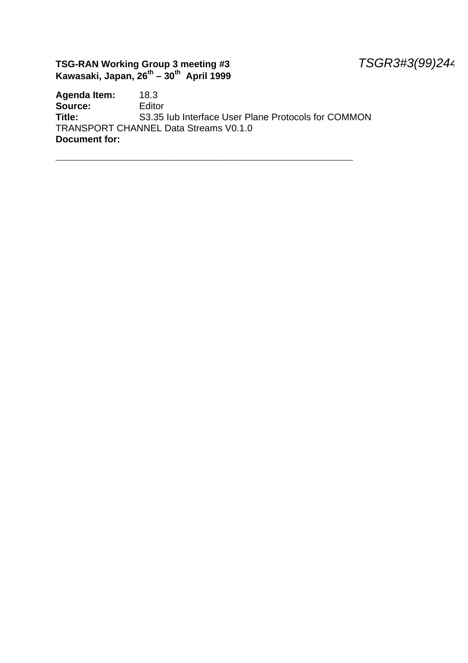#### **TSG-RAN Working Group 3 meeting #3** *TSGR3#3(99)244* **Kawasaki, Japan, 26th – 30th April 1999**

**Agenda Item:** 18.3 **Source:** Editor<br> **Title:** S3.35 S3.35 Iub Interface User Plane Protocols for COMMON TRANSPORT CHANNEL Data Streams V0.1.0 **Document for:**

\_\_\_\_\_\_\_\_\_\_\_\_\_\_\_\_\_\_\_\_\_\_\_\_\_\_\_\_\_\_\_\_\_\_\_\_\_\_\_\_\_\_\_\_\_\_\_\_\_\_\_\_\_\_\_\_\_\_\_\_\_\_\_\_\_\_\_\_\_\_\_\_\_\_\_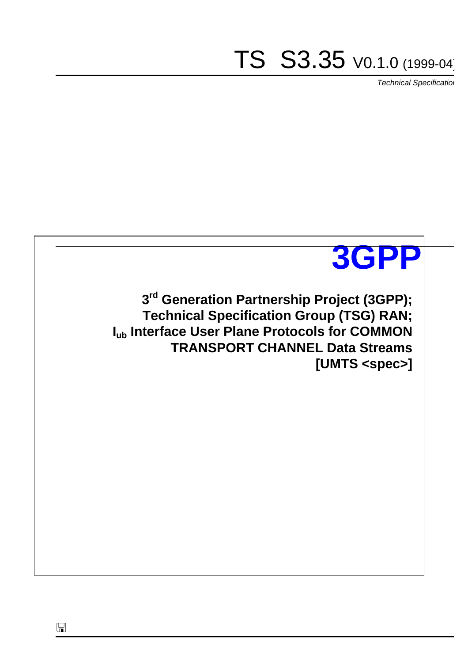# TS S3.35 V0.1.0 (1999-04)

*Technical Specification*



 $\Box$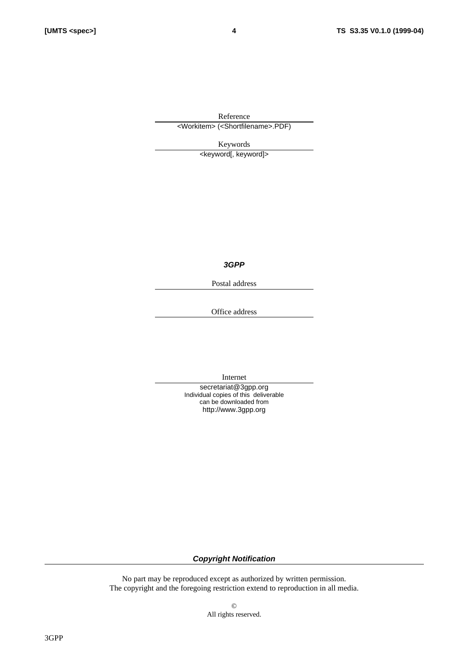Reference <Workitem> (<Shortfilename>.PDF)

Keywords

<keyword[, keyword]>

*3GPP*

Postal address

Office address

Internet

secretariat@3gpp.org Individual copies of this deliverable can be downloaded from http://www.3gpp.org

*Copyright Notification*

No part may be reproduced except as authorized by written permission. The copyright and the foregoing restriction extend to reproduction in all media.

> © All rights reserved.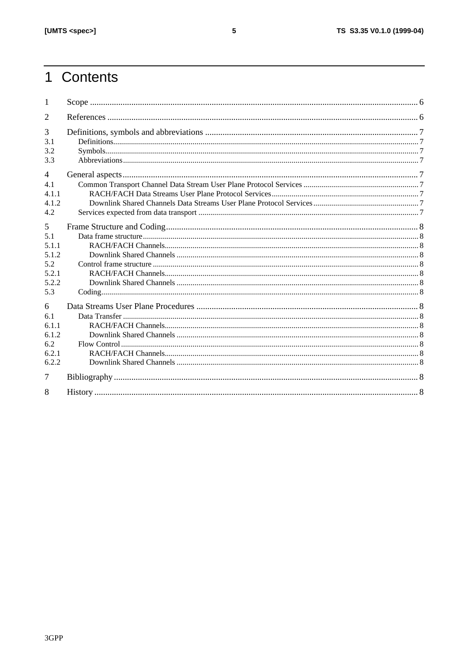# 1 Contents

| 1                      |  |
|------------------------|--|
| 2                      |  |
| 3<br>3.1<br>3.2<br>3.3 |  |
| $\overline{4}$         |  |
| 4.1<br>4.1.1           |  |
| 4.1.2<br>4.2           |  |
| 5                      |  |
| 5.1                    |  |
| 5 1 1                  |  |
| 5.1.2                  |  |
| 5.2<br>5.2.1           |  |
| 5.2.2                  |  |
| 5.3                    |  |
| 6                      |  |
| 6.1                    |  |
| 6.1.1                  |  |
| 6.1.2                  |  |
| 6.2                    |  |
| 6.2.1                  |  |
| 6.2.2                  |  |
| 7                      |  |
| 8                      |  |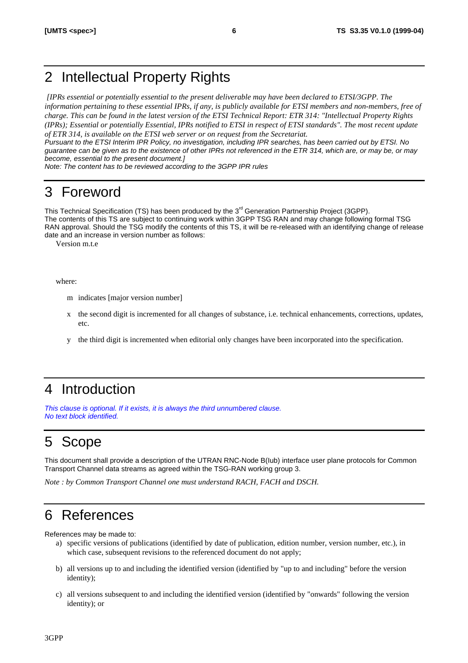# 2 Intellectual Property Rights

 *[IPRs essential or potentially essential to the present deliverable may have been declared to ETSI/3GPP. The information pertaining to these essential IPRs, if any, is publicly available for ETSI members and non-members, free of charge. This can be found in the latest version of the ETSI Technical Report: ETR 314: "Intellectual Property Rights (IPRs); Essential or potentially Essential, IPRs notified to ETSI in respect of ETSI standards". The most recent update of ETR 314, is available on the ETSI web server or on request from the Secretariat.*

*Pursuant to the ETSI Interim IPR Policy, no investigation, including IPR searches, has been carried out by ETSI. No guarantee can be given as to the existence of other IPRs not referenced in the ETR 314, which are, or may be, or may become, essential to the present document.]*

*Note: The content has to be reviewed according to the 3GPP IPR rules*

# 3 Foreword

This Technical Specification (TS) has been produced by the 3<sup>rd</sup> Generation Partnership Project (3GPP). The contents of this TS are subject to continuing work within 3GPP TSG RAN and may change following formal TSG RAN approval. Should the TSG modify the contents of this TS, it will be re-released with an identifying change of release date and an increase in version number as follows:

Version m.t.e

where:

- m indicates [major version number]
- x the second digit is incremented for all changes of substance, i.e. technical enhancements, corrections, updates, etc.
- y the third digit is incremented when editorial only changes have been incorporated into the specification.

# 4 Introduction

*This clause is optional. If it exists, it is always the third unnumbered clause. No text block identified.*

# 5 Scope

This document shall provide a description of the UTRAN RNC-Node B(Iub) interface user plane protocols for Common Transport Channel data streams as agreed within the TSG-RAN working group 3.

*Note : by Common Transport Channel one must understand RACH, FACH and DSCH.*

# 6 References

References may be made to:

- a) specific versions of publications (identified by date of publication, edition number, version number, etc.), in which case, subsequent revisions to the referenced document do not apply;
- b) all versions up to and including the identified version (identified by "up to and including" before the version identity);
- c) all versions subsequent to and including the identified version (identified by "onwards" following the version identity); or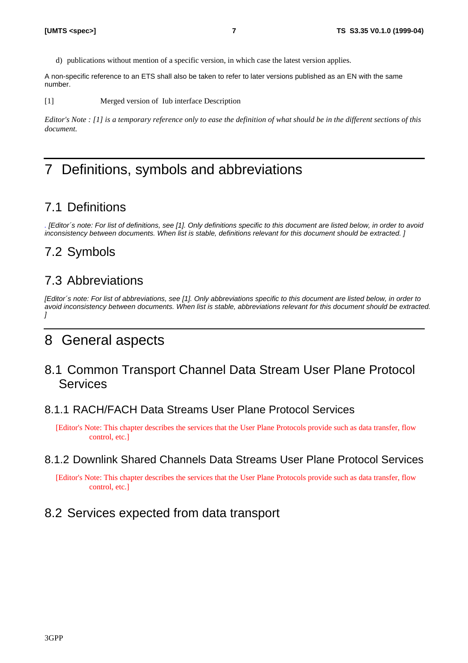d) publications without mention of a specific version, in which case the latest version applies.

A non-specific reference to an ETS shall also be taken to refer to later versions published as an EN with the same number.

[1] Merged version of Iub interface Description

*Editor's Note : [1] is a temporary reference only to ease the definition of what should be in the different sections of this document.*

# 7 Definitions, symbols and abbreviations

#### 7.1 Definitions

*. [Editor´s note: For list of definitions, see [1]. Only definitions specific to this document are listed below, in order to avoid inconsistency between documents. When list is stable, definitions relevant for this document should be extracted. ]*

#### 7.2 Symbols

#### 7.3 Abbreviations

*[Editor´s note: For list of abbreviations, see [1]. Only abbreviations specific to this document are listed below, in order to avoid inconsistency between documents. When list is stable, abbreviations relevant for this document should be extracted. ]*

### 8 General aspects

8.1 Common Transport Channel Data Stream User Plane Protocol **Services** 

#### 8.1.1 RACH/FACH Data Streams User Plane Protocol Services

[Editor's Note: This chapter describes the services that the User Plane Protocols provide such as data transfer, flow control, etc.]

#### 8.1.2 Downlink Shared Channels Data Streams User Plane Protocol Services

[Editor's Note: This chapter describes the services that the User Plane Protocols provide such as data transfer, flow control, etc.]

#### 8.2 Services expected from data transport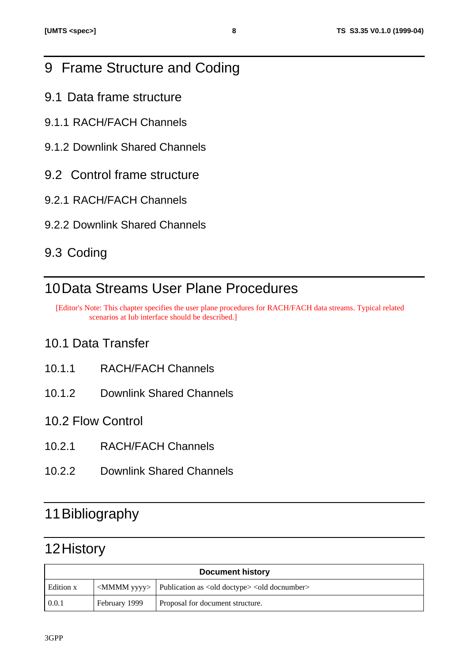# 9 Frame Structure and Coding

- 9.1 Data frame structure
- 9.1.1 RACH/FACH Channels
- 9.1.2 Downlink Shared Channels
- 9.2 Control frame structure
- 9.2.1 RACH/FACH Channels
- 9.2.2 Downlink Shared Channels

# 9.3 Coding

# 10Data Streams User Plane Procedures

[Editor's Note: This chapter specifies the user plane procedures for RACH/FACH data streams. Typical related scenarios at Iub interface should be described.]

## 10.1 Data Transfer

- 10.1.1 RACH/FACH Channels
- 10.1.2 Downlink Shared Channels
- 10.2 Flow Control
- 10.2.1 RACH/FACH Channels
- 10.2.2 Downlink Shared Channels

# 11Bibliography

# 12History

| <b>Document history</b> |               |                                                                                        |  |  |  |
|-------------------------|---------------|----------------------------------------------------------------------------------------|--|--|--|
| Edition x               |               | <mmmm yyyy="">   Publication as <old doctype=""> <old docnumber=""></old></old></mmmm> |  |  |  |
| 0.0.1                   | February 1999 | Proposal for document structure.                                                       |  |  |  |